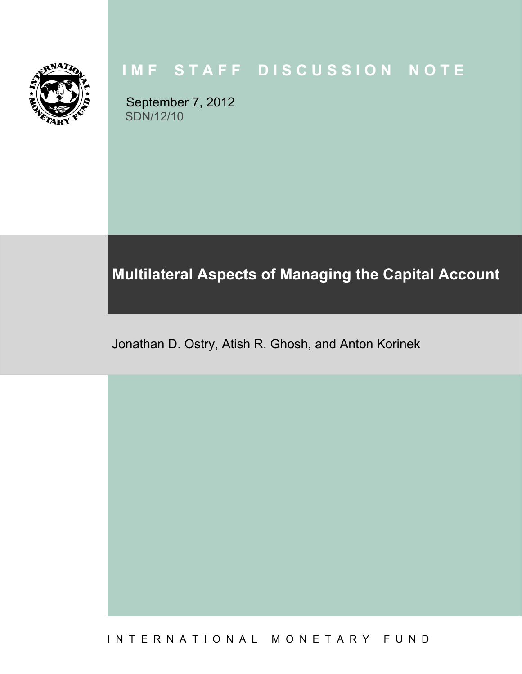

# **IMF STAFF DISCUSSION NOTE**

September 7, 2012 SDN/12/10

# **Multilateral Aspects of Managing the Capital Account**

Jonathan D. Ostry, Atish R. Ghosh, and Anton Korinek

I N T E R N A T I O N A L M O N E T A R Y F U N D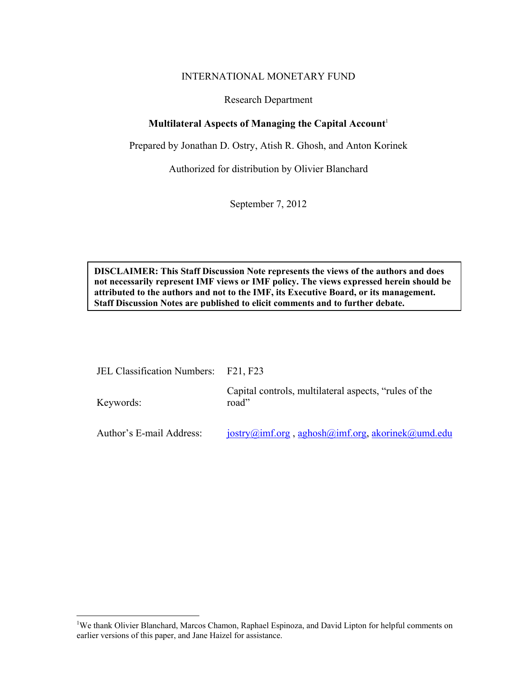## INTERNATIONAL MONETARY FUND

### Research Department

## **Multilateral Aspects of Managing the Capital Account**<sup>1</sup>

Prepared by Jonathan D. Ostry, Atish R. Ghosh, and Anton Korinek

Authorized for distribution by Olivier Blanchard

September 7, 2012

**DISCLAIMER: This Staff Discussion Note represents the views of the authors and does not necessarily represent IMF views or IMF policy. The views expressed herein should be attributed to the authors and not to the IMF, its Executive Board, or its management. Staff Discussion Notes are published to elicit comments and to further debate.** 

| JEL Classification Numbers: F21, F23 |                                                                |
|--------------------------------------|----------------------------------------------------------------|
| Keywords:                            | Capital controls, multilateral aspects, "rules of the<br>road" |
| Author's E-mail Address:             | $jostry@imf.org$ , aghosh $@imf.org$ , akorinek $@umd$ .edu    |

<u>.</u>

<sup>&</sup>lt;sup>1</sup>We thank Olivier Blanchard, Marcos Chamon, Raphael Espinoza, and David Lipton for helpful comments on earlier versions of this paper, and Jane Haizel for assistance.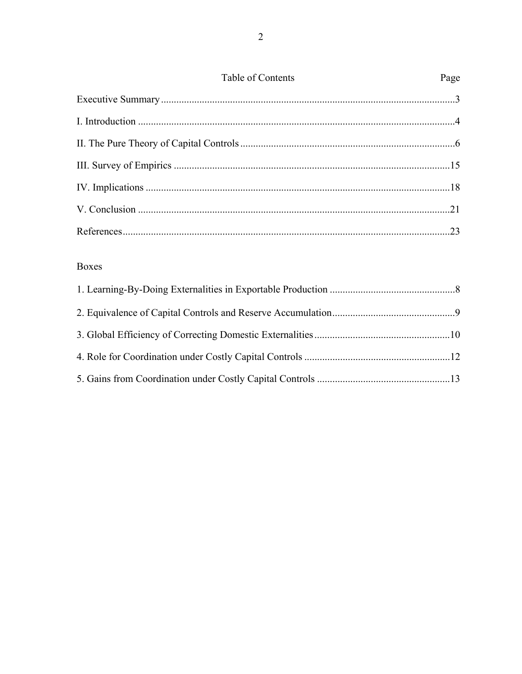| Table of Contents | Page |
|-------------------|------|
|                   |      |
|                   |      |
|                   |      |
|                   |      |
|                   |      |
|                   |      |
|                   | .23  |

# Boxes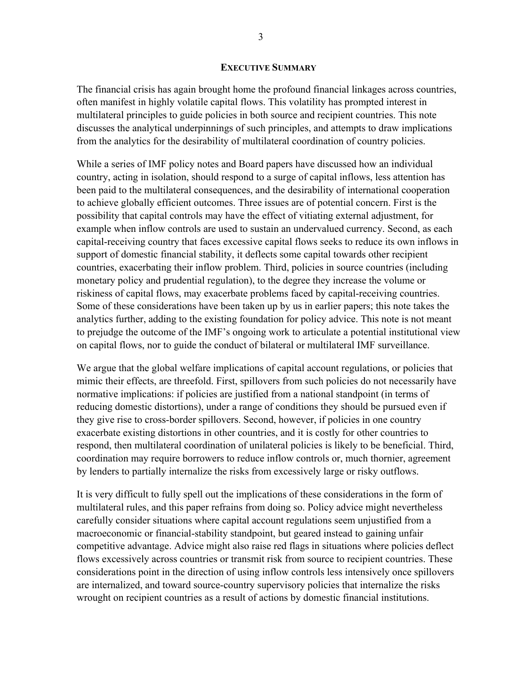#### **EXECUTIVE SUMMARY**

The financial crisis has again brought home the profound financial linkages across countries, often manifest in highly volatile capital flows. This volatility has prompted interest in multilateral principles to guide policies in both source and recipient countries. This note discusses the analytical underpinnings of such principles, and attempts to draw implications from the analytics for the desirability of multilateral coordination of country policies.

While a series of IMF policy notes and Board papers have discussed how an individual country, acting in isolation, should respond to a surge of capital inflows, less attention has been paid to the multilateral consequences, and the desirability of international cooperation to achieve globally efficient outcomes. Three issues are of potential concern. First is the possibility that capital controls may have the effect of vitiating external adjustment, for example when inflow controls are used to sustain an undervalued currency. Second, as each capital-receiving country that faces excessive capital flows seeks to reduce its own inflows in support of domestic financial stability, it deflects some capital towards other recipient countries, exacerbating their inflow problem. Third, policies in source countries (including monetary policy and prudential regulation), to the degree they increase the volume or riskiness of capital flows, may exacerbate problems faced by capital-receiving countries. Some of these considerations have been taken up by us in earlier papers; this note takes the analytics further, adding to the existing foundation for policy advice. This note is not meant to prejudge the outcome of the IMF's ongoing work to articulate a potential institutional view on capital flows, nor to guide the conduct of bilateral or multilateral IMF surveillance.

We argue that the global welfare implications of capital account regulations, or policies that mimic their effects, are threefold. First, spillovers from such policies do not necessarily have normative implications: if policies are justified from a national standpoint (in terms of reducing domestic distortions), under a range of conditions they should be pursued even if they give rise to cross-border spillovers. Second, however, if policies in one country exacerbate existing distortions in other countries, and it is costly for other countries to respond, then multilateral coordination of unilateral policies is likely to be beneficial. Third, coordination may require borrowers to reduce inflow controls or, much thornier, agreement by lenders to partially internalize the risks from excessively large or risky outflows.

It is very difficult to fully spell out the implications of these considerations in the form of multilateral rules, and this paper refrains from doing so. Policy advice might nevertheless carefully consider situations where capital account regulations seem unjustified from a macroeconomic or financial-stability standpoint, but geared instead to gaining unfair competitive advantage. Advice might also raise red flags in situations where policies deflect flows excessively across countries or transmit risk from source to recipient countries. These considerations point in the direction of using inflow controls less intensively once spillovers are internalized, and toward source-country supervisory policies that internalize the risks wrought on recipient countries as a result of actions by domestic financial institutions.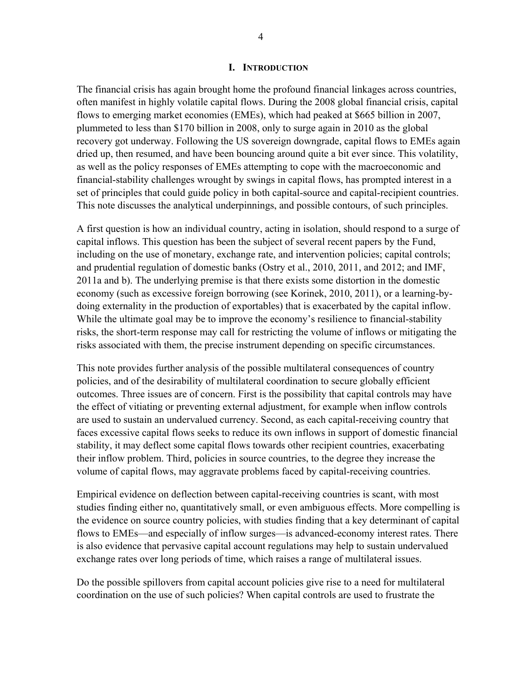#### **I. INTRODUCTION**

The financial crisis has again brought home the profound financial linkages across countries, often manifest in highly volatile capital flows. During the 2008 global financial crisis, capital flows to emerging market economies (EMEs), which had peaked at \$665 billion in 2007, plummeted to less than \$170 billion in 2008, only to surge again in 2010 as the global recovery got underway. Following the US sovereign downgrade, capital flows to EMEs again dried up, then resumed, and have been bouncing around quite a bit ever since. This volatility, as well as the policy responses of EMEs attempting to cope with the macroeconomic and financial-stability challenges wrought by swings in capital flows, has prompted interest in a set of principles that could guide policy in both capital-source and capital-recipient countries. This note discusses the analytical underpinnings, and possible contours, of such principles.

A first question is how an individual country, acting in isolation, should respond to a surge of capital inflows. This question has been the subject of several recent papers by the Fund, including on the use of monetary, exchange rate, and intervention policies; capital controls; and prudential regulation of domestic banks (Ostry et al., 2010, 2011, and 2012; and IMF, 2011a and b). The underlying premise is that there exists some distortion in the domestic economy (such as excessive foreign borrowing (see Korinek, 2010, 2011), or a learning-bydoing externality in the production of exportables) that is exacerbated by the capital inflow. While the ultimate goal may be to improve the economy's resilience to financial-stability risks, the short-term response may call for restricting the volume of inflows or mitigating the risks associated with them, the precise instrument depending on specific circumstances.

This note provides further analysis of the possible multilateral consequences of country policies, and of the desirability of multilateral coordination to secure globally efficient outcomes. Three issues are of concern. First is the possibility that capital controls may have the effect of vitiating or preventing external adjustment, for example when inflow controls are used to sustain an undervalued currency. Second, as each capital-receiving country that faces excessive capital flows seeks to reduce its own inflows in support of domestic financial stability, it may deflect some capital flows towards other recipient countries, exacerbating their inflow problem. Third, policies in source countries, to the degree they increase the volume of capital flows, may aggravate problems faced by capital-receiving countries.

Empirical evidence on deflection between capital-receiving countries is scant, with most studies finding either no, quantitatively small, or even ambiguous effects. More compelling is the evidence on source country policies, with studies finding that a key determinant of capital flows to EMEs—and especially of inflow surges—is advanced-economy interest rates. There is also evidence that pervasive capital account regulations may help to sustain undervalued exchange rates over long periods of time, which raises a range of multilateral issues.

Do the possible spillovers from capital account policies give rise to a need for multilateral coordination on the use of such policies? When capital controls are used to frustrate the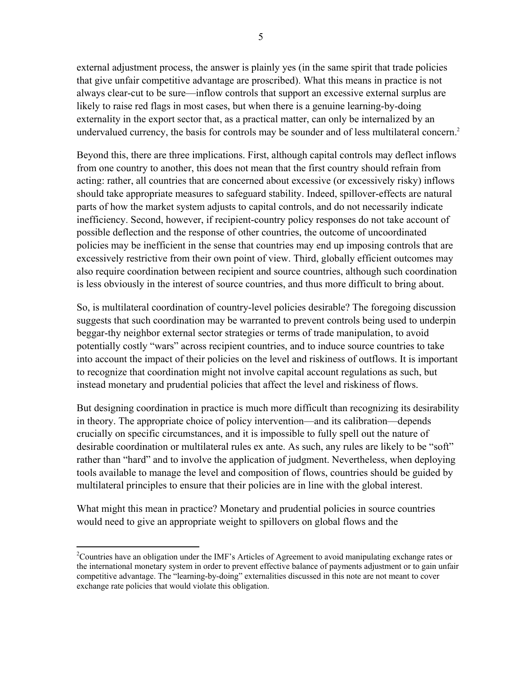external adjustment process, the answer is plainly yes (in the same spirit that trade policies that give unfair competitive advantage are proscribed). What this means in practice is not always clear-cut to be sure—inflow controls that support an excessive external surplus are likely to raise red flags in most cases, but when there is a genuine learning-by-doing externality in the export sector that, as a practical matter, can only be internalized by an undervalued currency, the basis for controls may be sounder and of less multilateral concern.<sup>2</sup>

Beyond this, there are three implications. First, although capital controls may deflect inflows from one country to another, this does not mean that the first country should refrain from acting: rather, all countries that are concerned about excessive (or excessively risky) inflows should take appropriate measures to safeguard stability. Indeed, spillover-effects are natural parts of how the market system adjusts to capital controls, and do not necessarily indicate inefficiency. Second, however, if recipient-country policy responses do not take account of possible deflection and the response of other countries, the outcome of uncoordinated policies may be inefficient in the sense that countries may end up imposing controls that are excessively restrictive from their own point of view. Third, globally efficient outcomes may also require coordination between recipient and source countries, although such coordination is less obviously in the interest of source countries, and thus more difficult to bring about.

So, is multilateral coordination of country-level policies desirable? The foregoing discussion suggests that such coordination may be warranted to prevent controls being used to underpin beggar-thy neighbor external sector strategies or terms of trade manipulation, to avoid potentially costly "wars" across recipient countries, and to induce source countries to take into account the impact of their policies on the level and riskiness of outflows. It is important to recognize that coordination might not involve capital account regulations as such, but instead monetary and prudential policies that affect the level and riskiness of flows.

But designing coordination in practice is much more difficult than recognizing its desirability in theory. The appropriate choice of policy intervention—and its calibration—depends crucially on specific circumstances, and it is impossible to fully spell out the nature of desirable coordination or multilateral rules ex ante. As such, any rules are likely to be "soft" rather than "hard" and to involve the application of judgment. Nevertheless, when deploying tools available to manage the level and composition of flows, countries should be guided by multilateral principles to ensure that their policies are in line with the global interest.

What might this mean in practice? Monetary and prudential policies in source countries would need to give an appropriate weight to spillovers on global flows and the

1

<sup>&</sup>lt;sup>2</sup>Countries have an obligation under the IMF's Articles of Agreement to avoid manipulating exchange rates or the international monetary system in order to prevent effective balance of payments adjustment or to gain unfair competitive advantage. The "learning-by-doing" externalities discussed in this note are not meant to cover exchange rate policies that would violate this obligation.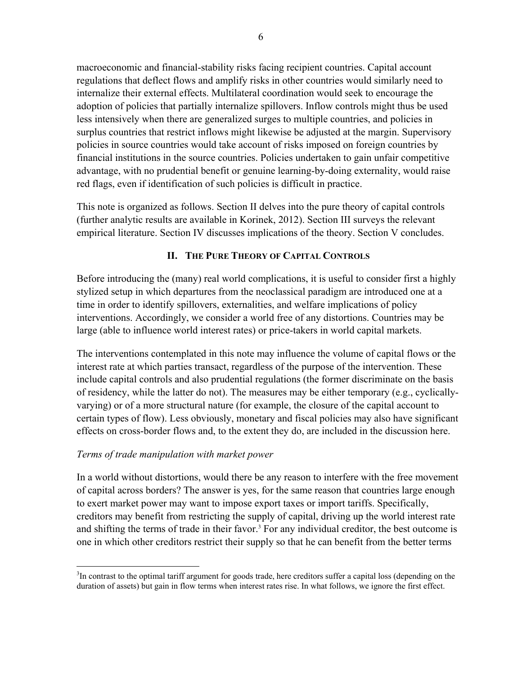macroeconomic and financial-stability risks facing recipient countries. Capital account regulations that deflect flows and amplify risks in other countries would similarly need to internalize their external effects. Multilateral coordination would seek to encourage the adoption of policies that partially internalize spillovers. Inflow controls might thus be used less intensively when there are generalized surges to multiple countries, and policies in surplus countries that restrict inflows might likewise be adjusted at the margin. Supervisory policies in source countries would take account of risks imposed on foreign countries by financial institutions in the source countries. Policies undertaken to gain unfair competitive advantage, with no prudential benefit or genuine learning-by-doing externality, would raise red flags, even if identification of such policies is difficult in practice.

This note is organized as follows. Section II delves into the pure theory of capital controls (further analytic results are available in Korinek, 2012). Section III surveys the relevant empirical literature. Section IV discusses implications of the theory. Section V concludes.

# **II. THE PURE THEORY OF CAPITAL CONTROLS**

Before introducing the (many) real world complications, it is useful to consider first a highly stylized setup in which departures from the neoclassical paradigm are introduced one at a time in order to identify spillovers, externalities, and welfare implications of policy interventions. Accordingly, we consider a world free of any distortions. Countries may be large (able to influence world interest rates) or price-takers in world capital markets.

The interventions contemplated in this note may influence the volume of capital flows or the interest rate at which parties transact, regardless of the purpose of the intervention. These include capital controls and also prudential regulations (the former discriminate on the basis of residency, while the latter do not). The measures may be either temporary (e.g., cyclicallyvarying) or of a more structural nature (for example, the closure of the capital account to certain types of flow). Less obviously, monetary and fiscal policies may also have significant effects on cross-border flows and, to the extent they do, are included in the discussion here.

# *Terms of trade manipulation with market power*

In a world without distortions, would there be any reason to interfere with the free movement of capital across borders? The answer is yes, for the same reason that countries large enough to exert market power may want to impose export taxes or import tariffs. Specifically, creditors may benefit from restricting the supply of capital, driving up the world interest rate and shifting the terms of trade in their favor.<sup>3</sup> For any individual creditor, the best outcome is one in which other creditors restrict their supply so that he can benefit from the better terms

 $\overline{a}$  $3$ In contrast to the optimal tariff argument for goods trade, here creditors suffer a capital loss (depending on the duration of assets) but gain in flow terms when interest rates rise. In what follows, we ignore the first effect.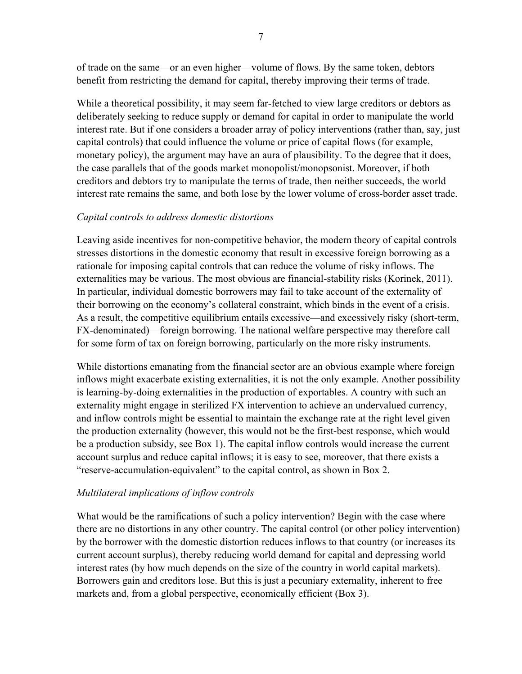of trade on the same—or an even higher—volume of flows. By the same token, debtors benefit from restricting the demand for capital, thereby improving their terms of trade.

While a theoretical possibility, it may seem far-fetched to view large creditors or debtors as deliberately seeking to reduce supply or demand for capital in order to manipulate the world interest rate. But if one considers a broader array of policy interventions (rather than, say, just capital controls) that could influence the volume or price of capital flows (for example, monetary policy), the argument may have an aura of plausibility. To the degree that it does, the case parallels that of the goods market monopolist/monopsonist. Moreover, if both creditors and debtors try to manipulate the terms of trade, then neither succeeds, the world interest rate remains the same, and both lose by the lower volume of cross-border asset trade.

## *Capital controls to address domestic distortions*

Leaving aside incentives for non-competitive behavior, the modern theory of capital controls stresses distortions in the domestic economy that result in excessive foreign borrowing as a rationale for imposing capital controls that can reduce the volume of risky inflows. The externalities may be various. The most obvious are financial-stability risks (Korinek, 2011). In particular, individual domestic borrowers may fail to take account of the externality of their borrowing on the economy's collateral constraint, which binds in the event of a crisis. As a result, the competitive equilibrium entails excessive—and excessively risky (short-term, FX-denominated)—foreign borrowing. The national welfare perspective may therefore call for some form of tax on foreign borrowing, particularly on the more risky instruments.

While distortions emanating from the financial sector are an obvious example where foreign inflows might exacerbate existing externalities, it is not the only example. Another possibility is learning-by-doing externalities in the production of exportables. A country with such an externality might engage in sterilized FX intervention to achieve an undervalued currency, and inflow controls might be essential to maintain the exchange rate at the right level given the production externality (however, this would not be the first-best response, which would be a production subsidy, see Box 1). The capital inflow controls would increase the current account surplus and reduce capital inflows; it is easy to see, moreover, that there exists a "reserve-accumulation-equivalent" to the capital control, as shown in Box 2.

# *Multilateral implications of inflow controls*

What would be the ramifications of such a policy intervention? Begin with the case where there are no distortions in any other country. The capital control (or other policy intervention) by the borrower with the domestic distortion reduces inflows to that country (or increases its current account surplus), thereby reducing world demand for capital and depressing world interest rates (by how much depends on the size of the country in world capital markets). Borrowers gain and creditors lose. But this is just a pecuniary externality, inherent to free markets and, from a global perspective, economically efficient (Box 3).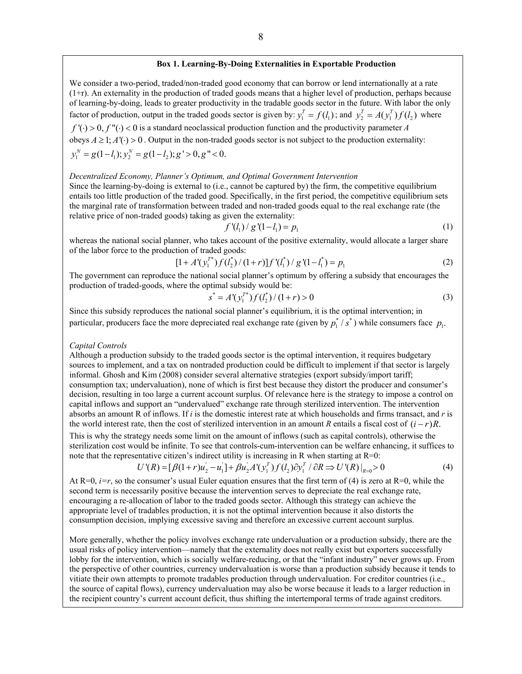#### **Box 1. Learning-By-Doing Externalities in Exportable Production**

We consider a two-period, traded/non-traded good economy that can borrow or lend internationally at a rate (1+r). An externality in the production of traded goods means that a higher level of production, perhaps because of learning-by-doing, leads to greater productivity in the tradable goods sector in the future. With labor the only factor of production, output in the traded goods sector is given by:  $y_1^T = f(l_1)$ ; and  $y_2^T = A(y_1^T) f(l_2)$  where

 $f'(\cdot) > 0$ ,  $f''(\cdot) < 0$  is a standard neoclassical production function and the productivity parameter *A* obeys  $A \ge 1$ ;  $A'(\cdot) > 0$ . Output in the non-traded goods sector is not subject to the production externality:  $y_1^N = g(1-l_1); y_2^N = g(1-l_2); g' > 0, g'' < 0.$ 

#### *Decentralized Economy, Planner's Optimum, and Optimal Government Intervention*

Since the learning-by-doing is external to (i.e., cannot be captured by) the firm, the competitive equilibrium entails too little production of the traded good. Specifically, in the first period, the competitive equilibrium sets the marginal rate of transformation between traded and non-traded goods equal to the real exchange rate (the relative price of non-traded goods) taking as given the externality:

$$
f'(l_1) / g'(1 - l_1) = p_1 \tag{1}
$$

whereas the national social planner, who takes account of the positive externality, would allocate a larger share of the labor force to the production of traded goods:

$$
[1 + A'(y_1^{T*}) f(l_2^*)/(1+r)]f'(l_1^*) / g'(1-l_1^*) = p_1
$$
 (2)

The government can reproduce the national social planner's optimum by offering a subsidy that encourages the production of traded-goods, where the optimal subsidy would be:

$$
s^* = A'(y_1^{T^*})f(l_2^*)/(1+r) > 0
$$
\n(3)

Since this subsidy reproduces the national social planner's equilibrium, it is the optimal intervention; in particular, producers face the more depreciated real exchange rate (given by  $p_1^*$  /  $s^*$  ) while consumers face  $p_1$ .

#### *Capital Controls*

Although a production subsidy to the traded goods sector is the optimal intervention, it requires budgetary sources to implement, and a tax on nontraded production could be difficult to implement if that sector is largely informal. Ghosh and Kim (2008) consider several alternative strategies (export subsidy/import tariff; consumption tax; undervaluation), none of which is first best because they distort the producer and consumer's decision, resulting in too large a current account surplus. Of relevance here is the strategy to impose a control on capital inflows and support an "undervalued" exchange rate through sterilized intervention. The intervention absorbs an amount R of inflows. If *i* is the domestic interest rate at which households and firms transact, and *r* is the world interest rate, then the cost of sterilized intervention in an amount *R* entails a fiscal cost of  $(i - r)R$ .

This is why the strategy needs some limit on the amount of inflows (such as capital controls), otherwise the sterilization cost would be infinite. To see that controls-cum-intervention can be welfare enhancing, it suffices to note that the representative citizen's indirect utility is increasing in R when starting at  $R=0$ :

$$
U'(R) = [\beta(1+r)u_2 - u_1] + \beta u_2 A'(y_1^T) f(l_2) \partial y_1^T / \partial R \Rightarrow U'(R)|_{R=0} > 0
$$
 (4)

At  $R=0$ , *i=r*, so the consumer's usual Euler equation ensures that the first term of (4) is zero at  $R=0$ , while the second term is necessarily positive because the intervention serves to depreciate the real exchange rate, encouraging a re-allocation of labor to the traded goods sector. Although this strategy can achieve the appropriate level of tradables production, it is not the optimal intervention because it also distorts the consumption decision, implying excessive saving and therefore an excessive current account surplus.

More generally, whether the policy involves exchange rate undervaluation or a production subsidy, there are the usual risks of policy intervention—namely that the externality does not really exist but exporters successfully lobby for the intervention, which is socially welfare-reducing, or that the "infant industry" never grows up. From the perspective of other countries, currency undervaluation is worse than a production subsidy because it tends to vitiate their own attempts to promote tradables production through undervaluation. For creditor countries (i.e., the source of capital flows), currency undervaluation may also be worse because it leads to a larger reduction in the recipient country's current account deficit, thus shifting the intertemporal terms of trade against creditors.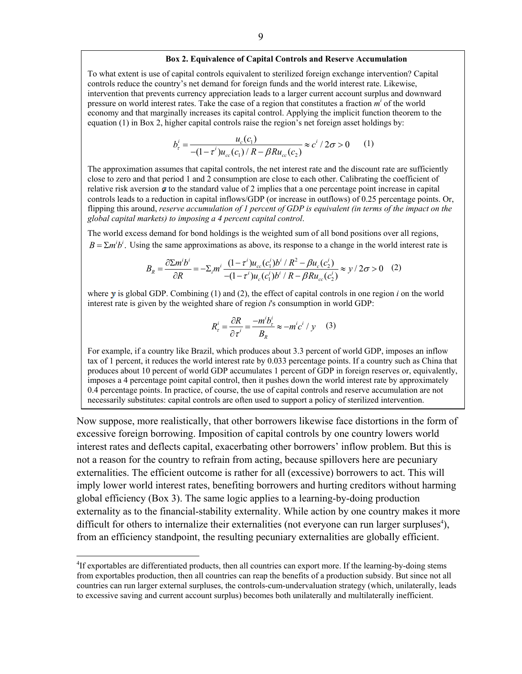#### **Box 2. Equivalence of Capital Controls and Reserve Accumulation**

To what extent is use of capital controls equivalent to sterilized foreign exchange intervention? Capital controls reduce the country's net demand for foreign funds and the world interest rate. Likewise, intervention that prevents currency appreciation leads to a larger current account surplus and downward pressure on world interest rates. Take the case of a region that constitutes a fraction  $m<sup>i</sup>$  of the world economy and that marginally increases its capital control. Applying the implicit function theorem to the equation (1) in Box 2, higher capital controls raise the region's net foreign asset holdings by:

$$
b_r^i = \frac{u_c(c_1)}{-(1 - \tau^i)u_{cc}(c_1)/R - \beta Ru_{cc}(c_2)} \approx c^i / 2\sigma > 0 \qquad (1)
$$

The approximation assumes that capital controls, the net interest rate and the discount rate are sufficiently close to zero and that period 1 and 2 consumption are close to each other. Calibrating the coefficient of relative risk aversion  $\sigma$  to the standard value of 2 implies that a one percentage point increase in capital controls leads to a reduction in capital inflows/GDP (or increase in outflows) of 0.25 percentage points. Or, flipping this around, *reserve accumulation of 1 percent of GDP is equivalent (in terms of the impact on the global capital markets) to imposing a 4 percent capital control*.

The world excess demand for bond holdings is the weighted sum of all bond positions over all regions,  $B = \sum m^i b^i$ . Using the same approximations as above, its response to a change in the world interest rate is

$$
B_R = \frac{\partial \Sigma m^i b^i}{\partial R} = -\Sigma_i m^i \frac{(1 - \tau^i) u_{cc}(c_1^i) b^i / R^2 - \beta u_c(c_2^i)}{-(1 - \tau^i) u_c(c_1^i) b^i / R - \beta R u_{cc}(c_2^i)} \approx y / 2\sigma > 0 \quad (2)
$$

where  $y$  is global GDP. Combining (1) and (2), the effect of capital controls in one region  $i$  on the world interest rate is given by the weighted share of region *i*'s consumption in world GDP:

$$
R_{\tau}^{i} = \frac{\partial R}{\partial \tau^{i}} = \frac{-m^{i}b_{\tau}^{i}}{B_{R}} \approx -m^{i}c^{i} / y \quad (3)
$$

For example, if a country like Brazil, which produces about 3.3 percent of world GDP, imposes an inflow tax of 1 percent, it reduces the world interest rate by 0.033 percentage points. If a country such as China that produces about 10 percent of world GDP accumulates 1 percent of GDP in foreign reserves or, equivalently, imposes a 4 percentage point capital control, then it pushes down the world interest rate by approximately 0.4 percentage points. In practice, of course, the use of capital controls and reserve accumulation are not necessarily substitutes: capital controls are often used to support a policy of sterilized intervention.

Now suppose, more realistically, that other borrowers likewise face distortions in the form of excessive foreign borrowing. Imposition of capital controls by one country lowers world interest rates and deflects capital, exacerbating other borrowers' inflow problem. But this is not a reason for the country to refrain from acting, because spillovers here are pecuniary externalities. The efficient outcome is rather for all (excessive) borrowers to act. This will imply lower world interest rates, benefiting borrowers and hurting creditors without harming global efficiency (Box 3). The same logic applies to a learning-by-doing production externality as to the financial-stability externality. While action by one country makes it more difficult for others to internalize their externalities (not everyone can run larger surpluses $\alpha$ ), from an efficiency standpoint, the resulting pecuniary externalities are globally efficient.

1

<sup>&</sup>lt;sup>4</sup>If exportables are differentiated products, then all countries can export more. If the learning-by-doing stems from exportables production, then all countries can reap the benefits of a production subsidy. But since not all countries can run larger external surpluses, the controls-cum-undervaluation strategy (which, unilaterally, leads to excessive saving and current account surplus) becomes both unilaterally and multilaterally inefficient.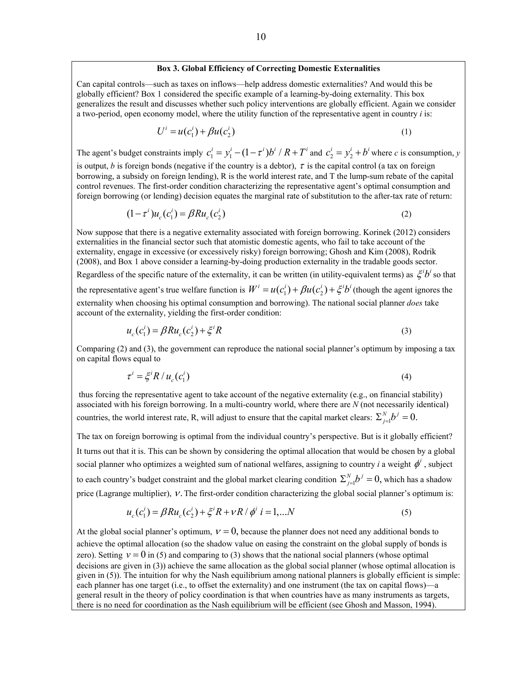#### **Box 3. Global Efficiency of Correcting Domestic Externalities**

Can capital controls—such as taxes on inflows—help address domestic externalities? And would this be globally efficient? Box 1 considered the specific example of a learning-by-doing externality. This box generalizes the result and discusses whether such policy interventions are globally efficient. Again we consider a two-period, open economy model, where the utility function of the representative agent in country *i* is:

$$
U^i = u(c_1^i) + \beta u(c_2^i)
$$
 (1)

The agent's budget constraints imply  $c_1^i = y_1^i - (1 - \tau^i)b^i / R + T^i$  and  $c_2^i = y_2^i + b^i$  where *c* is consumption, *y* is output, *b* is foreign bonds (negative if the country is a debtor),  $\tau$  is the capital control (a tax on foreign borrowing, a subsidy on foreign lending), R is the world interest rate, and T the lump-sum rebate of the capital control revenues. The first-order condition characterizing the representative agent's optimal consumption and foreign borrowing (or lending) decision equates the marginal rate of substitution to the after-tax rate of return:

$$
(1 - \tau^i)u_c(c_1^i) = \beta R u_c(c_2^i)
$$
 (2)

Now suppose that there is a negative externality associated with foreign borrowing. Korinek (2012) considers externalities in the financial sector such that atomistic domestic agents, who fail to take account of the externality, engage in excessive (or excessively risky) foreign borrowing; Ghosh and Kim (2008), Rodrik (2008), and Box 1 above consider a learning-by-doing production externality in the tradable goods sector.

Regardless of the specific nature of the externality, it can be written (in utility-equivalent terms) as  $\zeta^i b^i$  so that

the representative agent's true welfare function is  $W^i = u(c_1^i) + \beta u(c_2^i) + \xi^i b^i$  (though the agent ignores the externality when choosing his optimal consumption and borrowing). The national social planner *does* take account of the externality, yielding the first-order condition:

$$
u_c(c_1^i) = \beta R u_c(c_2^i) + \xi^i R \tag{3}
$$

Comparing (2) and (3), the government can reproduce the national social planner's optimum by imposing a tax on capital flows equal to

$$
\tau^i = \xi^i R / u_c(c_1^i) \tag{4}
$$

 thus forcing the representative agent to take account of the negative externality (e.g., on financial stability) associated with his foreign borrowing. In a multi-country world, where there are *N* (not necessarily identical) countries, the world interest rate, R, will adjust to ensure that the capital market clears:  $\sum_{j=1}^{N} b^j = 0$ .

The tax on foreign borrowing is optimal from the individual country's perspective. But is it globally efficient? It turns out that it is. This can be shown by considering the optimal allocation that would be chosen by a global social planner who optimizes a weighted sum of national welfares, assigning to country *i* a weight  $\phi^i$ , subject to each country's budget constraint and the global market clearing condition  $\sum_{j=1}^{N} b^j = 0$ , which has a shadow price (Lagrange multiplier),  $V$ . The first-order condition characterizing the global social planner's optimum is:

$$
u_c(c_1^i) = \beta R u_c(c_2^i) + \xi^i R + vR / \phi^i \quad i = 1,...N
$$
 (5)

At the global social planner's optimum,  $v = 0$ , because the planner does not need any additional bonds to achieve the optimal allocation (so the shadow value on easing the constraint on the global supply of bonds is zero). Setting  $v = 0$  in (5) and comparing to (3) shows that the national social planners (whose optimal decisions are given in (3)) achieve the same allocation as the global social planner (whose optimal allocation is given in (5)). The intuition for why the Nash equilibrium among national planners is globally efficient is simple: each planner has one target (i.e., to offset the externality) and one instrument (the tax on capital flows)—a general result in the theory of policy coordination is that when countries have as many instruments as targets, there is no need for coordination as the Nash equilibrium will be efficient (see Ghosh and Masson, 1994).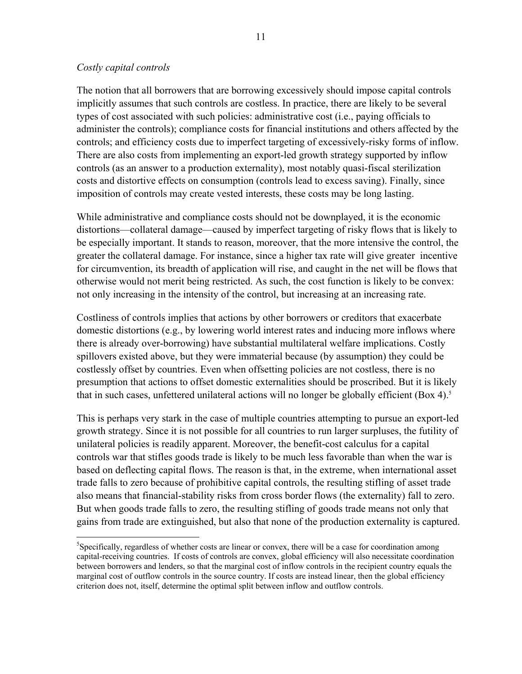## *Costly capital controls*

 $\overline{a}$ 

The notion that all borrowers that are borrowing excessively should impose capital controls implicitly assumes that such controls are costless. In practice, there are likely to be several types of cost associated with such policies: administrative cost (i.e., paying officials to administer the controls); compliance costs for financial institutions and others affected by the controls; and efficiency costs due to imperfect targeting of excessively-risky forms of inflow. There are also costs from implementing an export-led growth strategy supported by inflow controls (as an answer to a production externality), most notably quasi-fiscal sterilization costs and distortive effects on consumption (controls lead to excess saving). Finally, since imposition of controls may create vested interests, these costs may be long lasting.

While administrative and compliance costs should not be downplayed, it is the economic distortions—collateral damage—caused by imperfect targeting of risky flows that is likely to be especially important. It stands to reason, moreover, that the more intensive the control, the greater the collateral damage. For instance, since a higher tax rate will give greater incentive for circumvention, its breadth of application will rise, and caught in the net will be flows that otherwise would not merit being restricted. As such, the cost function is likely to be convex: not only increasing in the intensity of the control, but increasing at an increasing rate.

Costliness of controls implies that actions by other borrowers or creditors that exacerbate domestic distortions (e.g., by lowering world interest rates and inducing more inflows where there is already over-borrowing) have substantial multilateral welfare implications. Costly spillovers existed above, but they were immaterial because (by assumption) they could be costlessly offset by countries. Even when offsetting policies are not costless, there is no presumption that actions to offset domestic externalities should be proscribed. But it is likely that in such cases, unfettered unilateral actions will no longer be globally efficient (Box 4).<sup>5</sup>

This is perhaps very stark in the case of multiple countries attempting to pursue an export-led growth strategy. Since it is not possible for all countries to run larger surpluses, the futility of unilateral policies is readily apparent. Moreover, the benefit-cost calculus for a capital controls war that stifles goods trade is likely to be much less favorable than when the war is based on deflecting capital flows. The reason is that, in the extreme, when international asset trade falls to zero because of prohibitive capital controls, the resulting stifling of asset trade also means that financial-stability risks from cross border flows (the externality) fall to zero. But when goods trade falls to zero, the resulting stifling of goods trade means not only that gains from trade are extinguished, but also that none of the production externality is captured.

<sup>&</sup>lt;sup>5</sup>Specifically, regardless of whether costs are linear or convex, there will be a case for coordination among capital-receiving countries. If costs of controls are convex, global efficiency will also necessitate coordination between borrowers and lenders, so that the marginal cost of inflow controls in the recipient country equals the marginal cost of outflow controls in the source country. If costs are instead linear, then the global efficiency criterion does not, itself, determine the optimal split between inflow and outflow controls.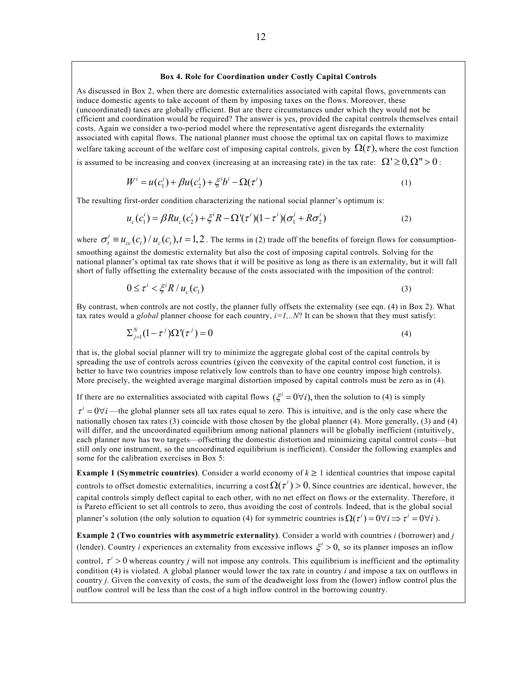#### 12

#### **Box 4. Role for Coordination under Costly Capital Controls**

As discussed in Box 2, when there are domestic externalities associated with capital flows, governments can induce domestic agents to take account of them by imposing taxes on the flows. Moreover, these (uncoordinated) taxes are globally efficient. But are there circumstances under which they would not be efficient and coordination would be required? The answer is yes, provided the capital controls themselves entail costs. Again we consider a two-period model where the representative agent disregards the externality associated with capital flows. The national planner must choose the optimal tax on capital flows to maximize welfare taking account of the welfare cost of imposing capital controls, given by  $\Omega(\tau)$ , where the cost function

is assumed to be increasing and convex (increasing at an increasing rate) in the tax rate:  $\Omega' \ge 0$ ,  $\Omega'' > 0$ :

$$
W^{i} = u(c_{1}^{i}) + \beta u(c_{2}^{i}) + \xi^{i} b^{i} - \Omega(\tau^{i})
$$
\n(1)

The resulting first-order condition characterizing the national social planner's optimum is:

$$
u_c(c_1^i) = \beta R u_c(c_2^i) + \xi^i R - \Omega^i(\tau^i)(1 - \tau^i)(\sigma_1^i + R \sigma_2^i)
$$
 (2)

where  $\sigma_t^i \equiv u_{cc}(c_t) / u_c(c_t)$ ,  $t = 1,2$ . The terms in (2) trade off the benefits of foreign flows for consumptionsmoothing against the domestic externality but also the cost of imposing capital controls. Solving for the national planner's optimal tax rate shows that it will be positive as long as there is an externality, but it will fall short of fully offsetting the externality because of the costs associated with the imposition of the control:

$$
0 \leq \tau^i < \xi^i R / u_c(c_1) \tag{3}
$$

By contrast, when controls are not costly, the planner fully offsets the externality (see eqn. (4) in Box 2). What tax rates would a *global* planner choose for each country, *i=1,..N*? It can be shown that they must satisfy:

$$
\sum_{j=1}^{N} (1 - \tau^j) \Omega^j(\tau^j) = 0 \tag{4}
$$

that is, the global social planner will try to minimize the aggregate global cost of the capital controls by spreading the use of controls across countries (given the convexity of the capital control cost function, it is better to have two countries impose relatively low controls than to have one country impose high controls). More precisely, the weighted average marginal distortion imposed by capital controls must be zero as in (4).

If there are no externalities associated with capital flows  $({\xi}^i = 0 \forall i)$ , then the solution to (4) is simply

 $\tau^i = 0 \forall i$  —the global planner sets all tax rates equal to zero. This is intuitive, and is the only case where the nationally chosen tax rates (3) coincide with those chosen by the global planner (4). More generally, (3) and (4) will differ, and the uncoordinated equilibrium among national planners will be globally inefficient (intuitively, each planner now has two targets—offsetting the domestic distortion and minimizing capital control costs—but still only one instrument, so the uncoordinated equilibrium is inefficient). Consider the following examples and some for the calibration exercises in Box 5:

**Example 1 (Symmetric countries)**. Consider a world economy of  $k \ge 1$  identical countries that impose capital controls to offset domestic externalities, incurring a cost  $\Omega(\tau') > 0$ . Since countries are identical, however, the capital controls simply deflect capital to each other, with no net effect on flows or the externality. Therefore, it is Pareto efficient to set all controls to zero, thus avoiding the cost of controls. Indeed, that is the global social planner's solution (the only solution to equation (4) for symmetric countries is  $\Omega(\tau^i) = 0 \forall i \Rightarrow \tau^i = 0 \forall i$ ).

**Example 2 (Two countries with asymmetric externality)**. Consider a world with countries *i* (borrower) and *j*  (lender). Country *i* experiences an externality from excessive inflows  $\xi^i > 0$ , so its planner imposes an inflow

control,  $\tau^i > 0$  whereas country *j* will not impose any controls. This equilibrium is inefficient and the optimality condition (4) is violated. A global planner would lower the tax rate in country *i* and impose a tax on outflows in country *j*. Given the convexity of costs, the sum of the deadweight loss from the (lower) inflow control plus the outflow control will be less than the cost of a high inflow control in the borrowing country.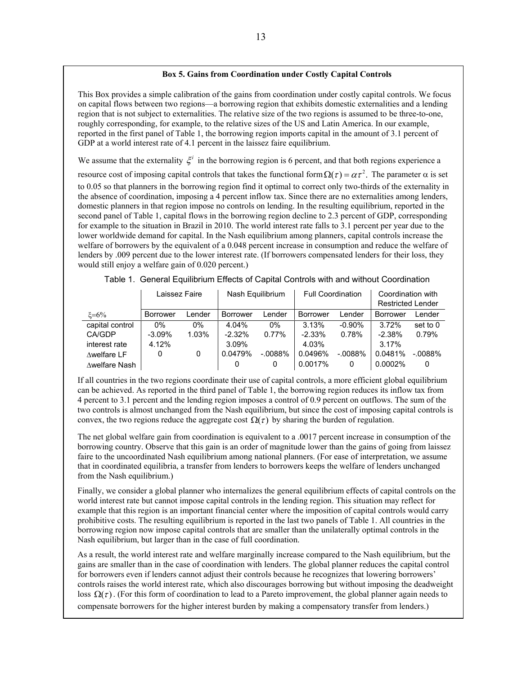#### **Box 5. Gains from Coordination under Costly Capital Controls**

This Box provides a simple calibration of the gains from coordination under costly capital controls. We focus on capital flows between two regions—a borrowing region that exhibits domestic externalities and a lending region that is not subject to externalities. The relative size of the two regions is assumed to be three-to-one, roughly corresponding, for example, to the relative sizes of the US and Latin America. In our example, reported in the first panel of Table 1, the borrowing region imports capital in the amount of 3.1 percent of GDP at a world interest rate of 4.1 percent in the laissez faire equilibrium.

We assume that the externality  $\xi^i$  in the borrowing region is 6 percent, and that both regions experience a

resource cost of imposing capital controls that takes the functional form  $\Omega(\tau) = \alpha \tau^2$ . The parameter  $\alpha$  is set to 0.05 so that planners in the borrowing region find it optimal to correct only two-thirds of the externality in the absence of coordination, imposing a 4 percent inflow tax. Since there are no externalities among lenders, domestic planners in that region impose no controls on lending. In the resulting equilibrium, reported in the second panel of Table 1, capital flows in the borrowing region decline to 2.3 percent of GDP, corresponding for example to the situation in Brazil in 2010. The world interest rate falls to 3.1 percent per year due to the lower worldwide demand for capital. In the Nash equilibrium among planners, capital controls increase the welfare of borrowers by the equivalent of a 0.048 percent increase in consumption and reduce the welfare of lenders by .009 percent due to the lower interest rate. (If borrowers compensated lenders for their loss, they would still enjoy a welfare gain of 0.020 percent.)

|                 | Laissez Faire   |        |                 | Nash Equilibrium |                 | <b>Full Coordination</b> | Coordination with        |           |
|-----------------|-----------------|--------|-----------------|------------------|-----------------|--------------------------|--------------------------|-----------|
|                 |                 |        |                 |                  |                 |                          | <b>Restricted Lender</b> |           |
| $\xi = 6\%$     | <b>Borrower</b> | Lender | <b>Borrower</b> | Lender           | <b>Borrower</b> | Lender                   | Borrower                 | Lender    |
| capital control | $0\%$           | $0\%$  | 4.04%           | $0\%$            | 3.13%           | $-0.90\%$                | 3.72%                    | set to 0  |
| <b>CA/GDP</b>   | $-3.09%$        | 1.03%  | $-2.32%$        | 0.77%            | $-2.33\%$       | 0.78%                    | $-2.38%$                 | 0.79%     |
| interest rate   | 4.12%           |        | 3.09%           |                  | 4.03%           |                          | 3.17%                    |           |
| Awelfare LF     | 0               | 0      | 0.0479%         | $-.0088%$        | 0.0496%         | $-.0088%$                | 0.0481%                  | $-.0088%$ |
| ∆welfare Nash   |                 |        |                 | 0                | 0.0017%         | 0                        | 0.0002%                  |           |

|  |  | Table 1. General Equilibrium Effects of Capital Controls with and without Coordination |
|--|--|----------------------------------------------------------------------------------------|
|  |  |                                                                                        |

If all countries in the two regions coordinate their use of capital controls, a more efficient global equilibrium can be achieved. As reported in the third panel of Table 1, the borrowing region reduces its inflow tax from 4 percent to 3.1 percent and the lending region imposes a control of 0.9 percent on outflows. The sum of the two controls is almost unchanged from the Nash equilibrium, but since the cost of imposing capital controls is convex, the two regions reduce the aggregate cost  $\Omega(\tau)$  by sharing the burden of regulation.

The net global welfare gain from coordination is equivalent to a .0017 percent increase in consumption of the borrowing country. Observe that this gain is an order of magnitude lower than the gains of going from laissez faire to the uncoordinated Nash equilibrium among national planners. (For ease of interpretation, we assume that in coordinated equilibria, a transfer from lenders to borrowers keeps the welfare of lenders unchanged from the Nash equilibrium.)

Finally, we consider a global planner who internalizes the general equilibrium effects of capital controls on the world interest rate but cannot impose capital controls in the lending region. This situation may reflect for example that this region is an important financial center where the imposition of capital controls would carry prohibitive costs. The resulting equilibrium is reported in the last two panels of Table 1. All countries in the borrowing region now impose capital controls that are smaller than the unilaterally optimal controls in the Nash equilibrium, but larger than in the case of full coordination.

As a result, the world interest rate and welfare marginally increase compared to the Nash equilibrium, but the gains are smaller than in the case of coordination with lenders. The global planner reduces the capital control for borrowers even if lenders cannot adjust their controls because he recognizes that lowering borrowers' controls raises the world interest rate, which also discourages borrowing but without imposing the deadweight loss  $\Omega(\tau)$ . (For this form of coordination to lead to a Pareto improvement, the global planner again needs to compensate borrowers for the higher interest burden by making a compensatory transfer from lenders.)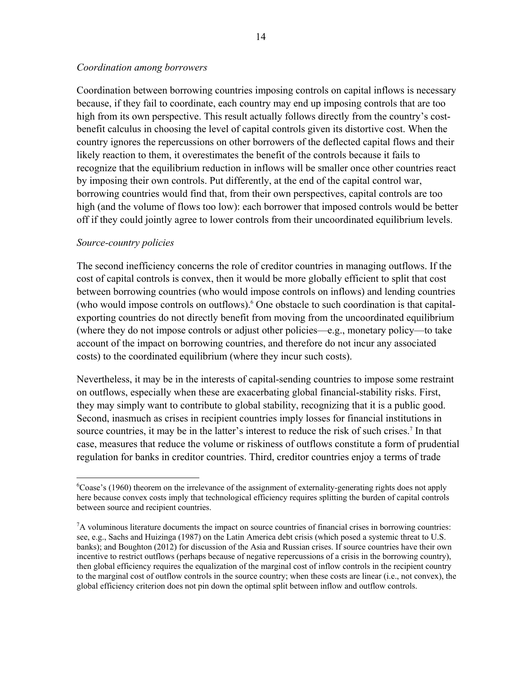## *Coordination among borrowers*

Coordination between borrowing countries imposing controls on capital inflows is necessary because, if they fail to coordinate, each country may end up imposing controls that are too high from its own perspective. This result actually follows directly from the country's costbenefit calculus in choosing the level of capital controls given its distortive cost. When the country ignores the repercussions on other borrowers of the deflected capital flows and their likely reaction to them, it overestimates the benefit of the controls because it fails to recognize that the equilibrium reduction in inflows will be smaller once other countries react by imposing their own controls. Put differently, at the end of the capital control war, borrowing countries would find that, from their own perspectives, capital controls are too high (and the volume of flows too low): each borrower that imposed controls would be better off if they could jointly agree to lower controls from their uncoordinated equilibrium levels.

## *Source-country policies*

 $\overline{a}$ 

The second inefficiency concerns the role of creditor countries in managing outflows. If the cost of capital controls is convex, then it would be more globally efficient to split that cost between borrowing countries (who would impose controls on inflows) and lending countries (who would impose controls on outflows).6 One obstacle to such coordination is that capitalexporting countries do not directly benefit from moving from the uncoordinated equilibrium (where they do not impose controls or adjust other policies—e.g., monetary policy—to take account of the impact on borrowing countries, and therefore do not incur any associated costs) to the coordinated equilibrium (where they incur such costs).

Nevertheless, it may be in the interests of capital-sending countries to impose some restraint on outflows, especially when these are exacerbating global financial-stability risks. First, they may simply want to contribute to global stability, recognizing that it is a public good. Second, inasmuch as crises in recipient countries imply losses for financial institutions in source countries, it may be in the latter's interest to reduce the risk of such crises.<sup>7</sup> In that case, measures that reduce the volume or riskiness of outflows constitute a form of prudential regulation for banks in creditor countries. Third, creditor countries enjoy a terms of trade

<sup>&</sup>lt;sup>6</sup>Coase's (1960) theorem on the irrelevance of the assignment of externality-generating rights does not apply here because convex costs imply that technological efficiency requires splitting the burden of capital controls between source and recipient countries.

<sup>&</sup>lt;sup>7</sup>A voluminous literature documents the impact on source countries of financial crises in borrowing countries: see, e.g., Sachs and Huizinga (1987) on the Latin America debt crisis (which posed a systemic threat to U.S. banks); and Boughton (2012) for discussion of the Asia and Russian crises. If source countries have their own incentive to restrict outflows (perhaps because of negative repercussions of a crisis in the borrowing country), then global efficiency requires the equalization of the marginal cost of inflow controls in the recipient country to the marginal cost of outflow controls in the source country; when these costs are linear (i.e., not convex), the global efficiency criterion does not pin down the optimal split between inflow and outflow controls.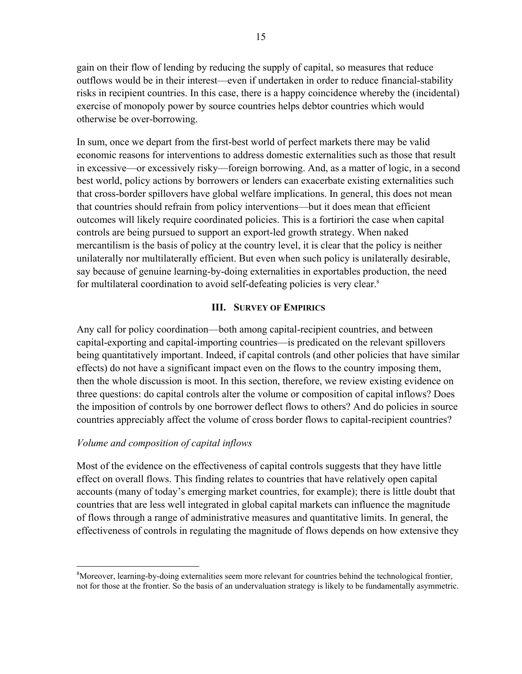gain on their flow of lending by reducing the supply of capital, so measures that reduce outflows would be in their interest—even if undertaken in order to reduce financial-stability risks in recipient countries. In this case, there is a happy coincidence whereby the (incidental) exercise of monopoly power by source countries helps debtor countries which would otherwise be over-borrowing.

In sum, once we depart from the first-best world of perfect markets there may be valid economic reasons for interventions to address domestic externalities such as those that result in excessive—or excessively risky—foreign borrowing. And, as a matter of logic, in a second best world, policy actions by borrowers or lenders can exacerbate existing externalities such that cross-border spillovers have global welfare implications. In general, this does not mean that countries should refrain from policy interventions—but it does mean that efficient outcomes will likely require coordinated policies. This is a fortiriori the case when capital controls are being pursued to support an export-led growth strategy. When naked mercantilism is the basis of policy at the country level, it is clear that the policy is neither unilaterally nor multilaterally efficient. But even when such policy is unilaterally desirable, say because of genuine learning-by-doing externalities in exportables production, the need for multilateral coordination to avoid self-defeating policies is very clear.8

## **III. SURVEY OF EMPIRICS**

Any call for policy coordination—both among capital-recipient countries, and between capital-exporting and capital-importing countries—is predicated on the relevant spillovers being quantitatively important. Indeed, if capital controls (and other policies that have similar effects) do not have a significant impact even on the flows to the country imposing them, then the whole discussion is moot. In this section, therefore, we review existing evidence on three questions: do capital controls alter the volume or composition of capital inflows? Does the imposition of controls by one borrower deflect flows to others? And do policies in source countries appreciably affect the volume of cross border flows to capital-recipient countries?

## *Volume and composition of capital inflows*

1

Most of the evidence on the effectiveness of capital controls suggests that they have little effect on overall flows. This finding relates to countries that have relatively open capital accounts (many of today's emerging market countries, for example); there is little doubt that countries that are less well integrated in global capital markets can influence the magnitude of flows through a range of administrative measures and quantitative limits. In general, the effectiveness of controls in regulating the magnitude of flows depends on how extensive they

<sup>&</sup>lt;sup>8</sup>Moreover, learning-by-doing externalities seem more relevant for countries behind the technological frontier, not for those at the frontier. So the basis of an undervaluation strategy is likely to be fundamentally asymmetric.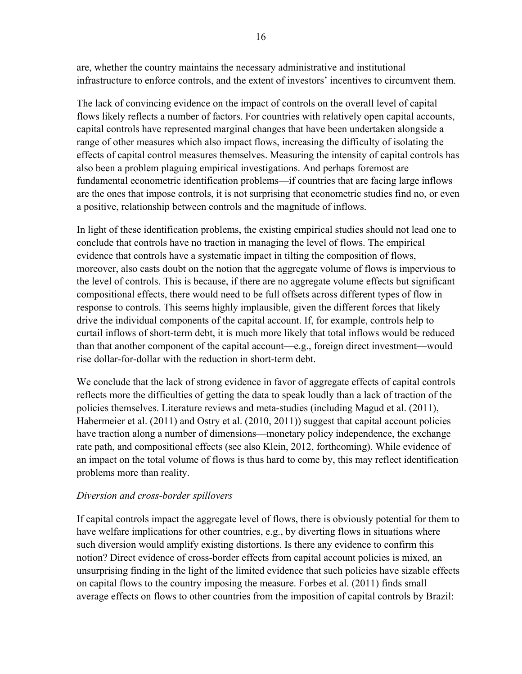are, whether the country maintains the necessary administrative and institutional infrastructure to enforce controls, and the extent of investors' incentives to circumvent them.

The lack of convincing evidence on the impact of controls on the overall level of capital flows likely reflects a number of factors. For countries with relatively open capital accounts, capital controls have represented marginal changes that have been undertaken alongside a range of other measures which also impact flows, increasing the difficulty of isolating the effects of capital control measures themselves. Measuring the intensity of capital controls has also been a problem plaguing empirical investigations. And perhaps foremost are fundamental econometric identification problems—if countries that are facing large inflows are the ones that impose controls, it is not surprising that econometric studies find no, or even a positive, relationship between controls and the magnitude of inflows.

In light of these identification problems, the existing empirical studies should not lead one to conclude that controls have no traction in managing the level of flows. The empirical evidence that controls have a systematic impact in tilting the composition of flows, moreover, also casts doubt on the notion that the aggregate volume of flows is impervious to the level of controls. This is because, if there are no aggregate volume effects but significant compositional effects, there would need to be full offsets across different types of flow in response to controls. This seems highly implausible, given the different forces that likely drive the individual components of the capital account. If, for example, controls help to curtail inflows of short-term debt, it is much more likely that total inflows would be reduced than that another component of the capital account—e.g., foreign direct investment—would rise dollar-for-dollar with the reduction in short-term debt.

We conclude that the lack of strong evidence in favor of aggregate effects of capital controls reflects more the difficulties of getting the data to speak loudly than a lack of traction of the policies themselves. Literature reviews and meta-studies (including Magud et al. (2011), Habermeier et al. (2011) and Ostry et al. (2010, 2011)) suggest that capital account policies have traction along a number of dimensions—monetary policy independence, the exchange rate path, and compositional effects (see also Klein, 2012, forthcoming). While evidence of an impact on the total volume of flows is thus hard to come by, this may reflect identification problems more than reality.

# *Diversion and cross-border spillovers*

If capital controls impact the aggregate level of flows, there is obviously potential for them to have welfare implications for other countries, e.g., by diverting flows in situations where such diversion would amplify existing distortions. Is there any evidence to confirm this notion? Direct evidence of cross-border effects from capital account policies is mixed, an unsurprising finding in the light of the limited evidence that such policies have sizable effects on capital flows to the country imposing the measure. Forbes et al. (2011) finds small average effects on flows to other countries from the imposition of capital controls by Brazil: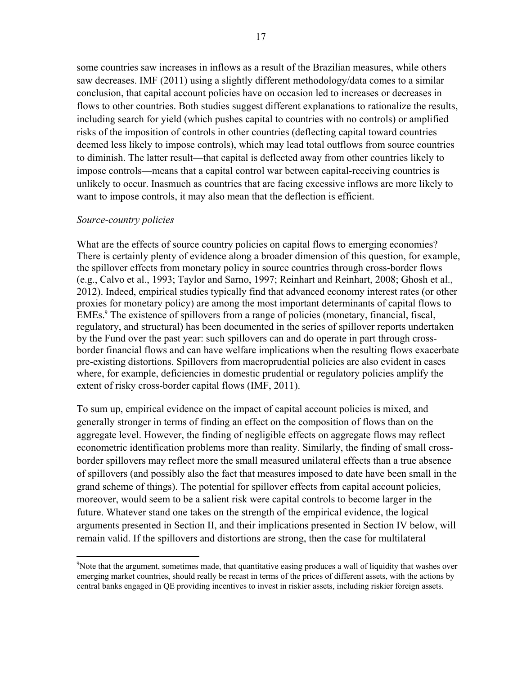some countries saw increases in inflows as a result of the Brazilian measures, while others saw decreases. IMF (2011) using a slightly different methodology/data comes to a similar conclusion, that capital account policies have on occasion led to increases or decreases in flows to other countries. Both studies suggest different explanations to rationalize the results, including search for yield (which pushes capital to countries with no controls) or amplified risks of the imposition of controls in other countries (deflecting capital toward countries deemed less likely to impose controls), which may lead total outflows from source countries to diminish. The latter result—that capital is deflected away from other countries likely to impose controls—means that a capital control war between capital-receiving countries is unlikely to occur. Inasmuch as countries that are facing excessive inflows are more likely to want to impose controls, it may also mean that the deflection is efficient.

#### *Source-country policies*

<u>.</u>

What are the effects of source country policies on capital flows to emerging economies? There is certainly plenty of evidence along a broader dimension of this question, for example, the spillover effects from monetary policy in source countries through cross-border flows (e.g., Calvo et al., 1993; Taylor and Sarno, 1997; Reinhart and Reinhart, 2008; Ghosh et al., 2012). Indeed, empirical studies typically find that advanced economy interest rates (or other proxies for monetary policy) are among the most important determinants of capital flows to EMEs.<sup>9</sup> The existence of spillovers from a range of policies (monetary, financial, fiscal, regulatory, and structural) has been documented in the series of spillover reports undertaken by the Fund over the past year: such spillovers can and do operate in part through crossborder financial flows and can have welfare implications when the resulting flows exacerbate pre-existing distortions. Spillovers from macroprudential policies are also evident in cases where, for example, deficiencies in domestic prudential or regulatory policies amplify the extent of risky cross-border capital flows (IMF, 2011).

To sum up, empirical evidence on the impact of capital account policies is mixed, and generally stronger in terms of finding an effect on the composition of flows than on the aggregate level. However, the finding of negligible effects on aggregate flows may reflect econometric identification problems more than reality. Similarly, the finding of small crossborder spillovers may reflect more the small measured unilateral effects than a true absence of spillovers (and possibly also the fact that measures imposed to date have been small in the grand scheme of things). The potential for spillover effects from capital account policies, moreover, would seem to be a salient risk were capital controls to become larger in the future. Whatever stand one takes on the strength of the empirical evidence, the logical arguments presented in Section II, and their implications presented in Section IV below, will remain valid. If the spillovers and distortions are strong, then the case for multilateral

<sup>&</sup>lt;sup>9</sup>Note that the argument, sometimes made, that quantitative easing produces a wall of liquidity that washes over emerging market countries, should really be recast in terms of the prices of different assets, with the actions by central banks engaged in QE providing incentives to invest in riskier assets, including riskier foreign assets.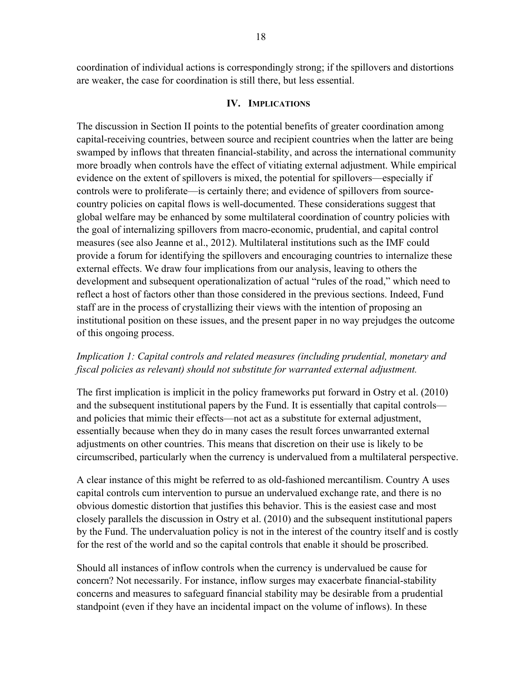coordination of individual actions is correspondingly strong; if the spillovers and distortions are weaker, the case for coordination is still there, but less essential.

## **IV. IMPLICATIONS**

The discussion in Section II points to the potential benefits of greater coordination among capital-receiving countries, between source and recipient countries when the latter are being swamped by inflows that threaten financial-stability, and across the international community more broadly when controls have the effect of vitiating external adjustment. While empirical evidence on the extent of spillovers is mixed, the potential for spillovers—especially if controls were to proliferate—is certainly there; and evidence of spillovers from sourcecountry policies on capital flows is well-documented. These considerations suggest that global welfare may be enhanced by some multilateral coordination of country policies with the goal of internalizing spillovers from macro-economic, prudential, and capital control measures (see also Jeanne et al., 2012). Multilateral institutions such as the IMF could provide a forum for identifying the spillovers and encouraging countries to internalize these external effects. We draw four implications from our analysis, leaving to others the development and subsequent operationalization of actual "rules of the road," which need to reflect a host of factors other than those considered in the previous sections. Indeed, Fund staff are in the process of crystallizing their views with the intention of proposing an institutional position on these issues, and the present paper in no way prejudges the outcome of this ongoing process.

## *Implication 1: Capital controls and related measures (including prudential, monetary and fiscal policies as relevant) should not substitute for warranted external adjustment.*

The first implication is implicit in the policy frameworks put forward in Ostry et al. (2010) and the subsequent institutional papers by the Fund. It is essentially that capital controls and policies that mimic their effects—not act as a substitute for external adjustment, essentially because when they do in many cases the result forces unwarranted external adjustments on other countries. This means that discretion on their use is likely to be circumscribed, particularly when the currency is undervalued from a multilateral perspective.

A clear instance of this might be referred to as old-fashioned mercantilism. Country A uses capital controls cum intervention to pursue an undervalued exchange rate, and there is no obvious domestic distortion that justifies this behavior. This is the easiest case and most closely parallels the discussion in Ostry et al. (2010) and the subsequent institutional papers by the Fund. The undervaluation policy is not in the interest of the country itself and is costly for the rest of the world and so the capital controls that enable it should be proscribed.

Should all instances of inflow controls when the currency is undervalued be cause for concern? Not necessarily. For instance, inflow surges may exacerbate financial-stability concerns and measures to safeguard financial stability may be desirable from a prudential standpoint (even if they have an incidental impact on the volume of inflows). In these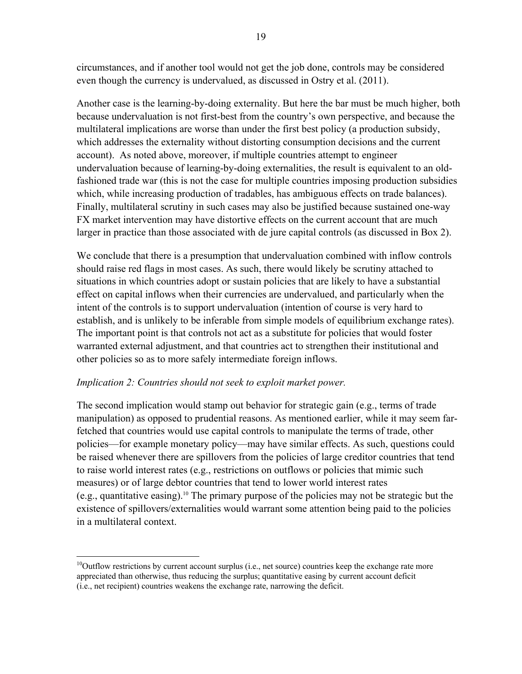circumstances, and if another tool would not get the job done, controls may be considered even though the currency is undervalued, as discussed in Ostry et al. (2011).

Another case is the learning-by-doing externality. But here the bar must be much higher, both because undervaluation is not first-best from the country's own perspective, and because the multilateral implications are worse than under the first best policy (a production subsidy, which addresses the externality without distorting consumption decisions and the current account). As noted above, moreover, if multiple countries attempt to engineer undervaluation because of learning-by-doing externalities, the result is equivalent to an oldfashioned trade war (this is not the case for multiple countries imposing production subsidies which, while increasing production of tradables, has ambiguous effects on trade balances). Finally, multilateral scrutiny in such cases may also be justified because sustained one-way FX market intervention may have distortive effects on the current account that are much larger in practice than those associated with de jure capital controls (as discussed in Box 2).

We conclude that there is a presumption that undervaluation combined with inflow controls should raise red flags in most cases. As such, there would likely be scrutiny attached to situations in which countries adopt or sustain policies that are likely to have a substantial effect on capital inflows when their currencies are undervalued, and particularly when the intent of the controls is to support undervaluation (intention of course is very hard to establish, and is unlikely to be inferable from simple models of equilibrium exchange rates). The important point is that controls not act as a substitute for policies that would foster warranted external adjustment, and that countries act to strengthen their institutional and other policies so as to more safely intermediate foreign inflows.

# *Implication 2: Countries should not seek to exploit market power.*

<u>.</u>

The second implication would stamp out behavior for strategic gain (e.g., terms of trade manipulation) as opposed to prudential reasons. As mentioned earlier, while it may seem farfetched that countries would use capital controls to manipulate the terms of trade, other policies—for example monetary policy—may have similar effects. As such, questions could be raised whenever there are spillovers from the policies of large creditor countries that tend to raise world interest rates (e.g., restrictions on outflows or policies that mimic such measures) or of large debtor countries that tend to lower world interest rates (e.g., quantitative easing).<sup>10</sup> The primary purpose of the policies may not be strategic but the existence of spillovers/externalities would warrant some attention being paid to the policies in a multilateral context.

 $10$ Outflow restrictions by current account surplus (i.e., net source) countries keep the exchange rate more appreciated than otherwise, thus reducing the surplus; quantitative easing by current account deficit (i.e., net recipient) countries weakens the exchange rate, narrowing the deficit.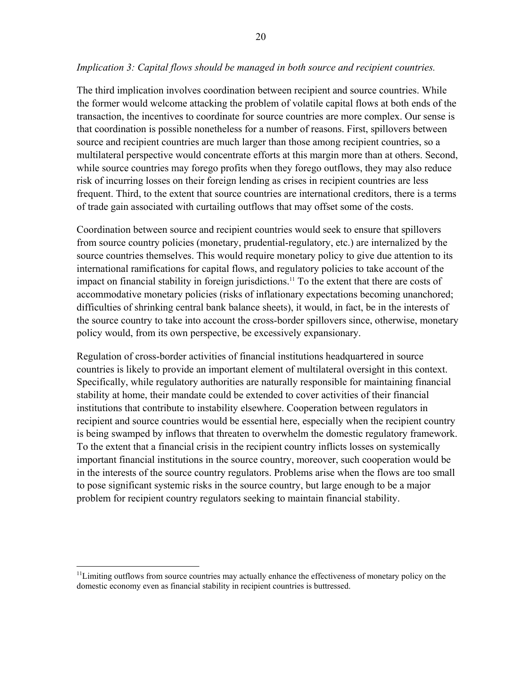## *Implication 3: Capital flows should be managed in both source and recipient countries.*

The third implication involves coordination between recipient and source countries. While the former would welcome attacking the problem of volatile capital flows at both ends of the transaction, the incentives to coordinate for source countries are more complex. Our sense is that coordination is possible nonetheless for a number of reasons. First, spillovers between source and recipient countries are much larger than those among recipient countries, so a multilateral perspective would concentrate efforts at this margin more than at others. Second, while source countries may forego profits when they forego outflows, they may also reduce risk of incurring losses on their foreign lending as crises in recipient countries are less frequent. Third, to the extent that source countries are international creditors, there is a terms of trade gain associated with curtailing outflows that may offset some of the costs.

Coordination between source and recipient countries would seek to ensure that spillovers from source country policies (monetary, prudential-regulatory, etc.) are internalized by the source countries themselves. This would require monetary policy to give due attention to its international ramifications for capital flows, and regulatory policies to take account of the impact on financial stability in foreign jurisdictions.<sup>11</sup> To the extent that there are costs of accommodative monetary policies (risks of inflationary expectations becoming unanchored; difficulties of shrinking central bank balance sheets), it would, in fact, be in the interests of the source country to take into account the cross-border spillovers since, otherwise, monetary policy would, from its own perspective, be excessively expansionary.

Regulation of cross-border activities of financial institutions headquartered in source countries is likely to provide an important element of multilateral oversight in this context. Specifically, while regulatory authorities are naturally responsible for maintaining financial stability at home, their mandate could be extended to cover activities of their financial institutions that contribute to instability elsewhere. Cooperation between regulators in recipient and source countries would be essential here, especially when the recipient country is being swamped by inflows that threaten to overwhelm the domestic regulatory framework. To the extent that a financial crisis in the recipient country inflicts losses on systemically important financial institutions in the source country, moreover, such cooperation would be in the interests of the source country regulators. Problems arise when the flows are too small to pose significant systemic risks in the source country, but large enough to be a major problem for recipient country regulators seeking to maintain financial stability.

1

<sup>&</sup>lt;sup>11</sup>Limiting outflows from source countries may actually enhance the effectiveness of monetary policy on the domestic economy even as financial stability in recipient countries is buttressed.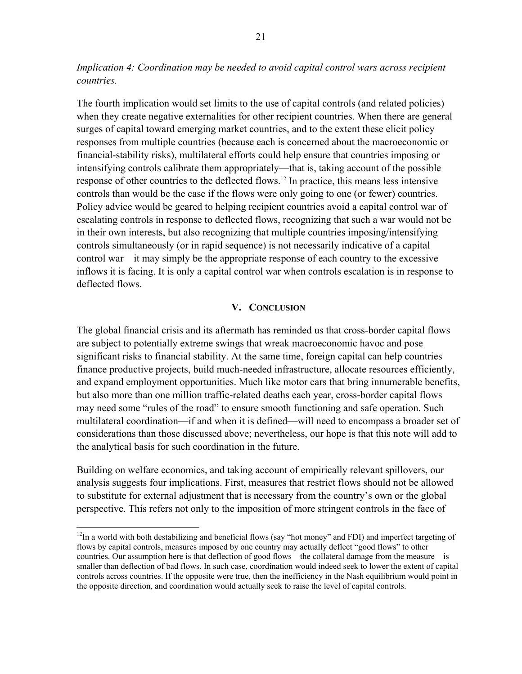*Implication 4: Coordination may be needed to avoid capital control wars across recipient countries.* 

The fourth implication would set limits to the use of capital controls (and related policies) when they create negative externalities for other recipient countries. When there are general surges of capital toward emerging market countries, and to the extent these elicit policy responses from multiple countries (because each is concerned about the macroeconomic or financial-stability risks), multilateral efforts could help ensure that countries imposing or intensifying controls calibrate them appropriately—that is, taking account of the possible response of other countries to the deflected flows.12 In practice, this means less intensive controls than would be the case if the flows were only going to one (or fewer) countries. Policy advice would be geared to helping recipient countries avoid a capital control war of escalating controls in response to deflected flows, recognizing that such a war would not be in their own interests, but also recognizing that multiple countries imposing/intensifying controls simultaneously (or in rapid sequence) is not necessarily indicative of a capital control war—it may simply be the appropriate response of each country to the excessive inflows it is facing. It is only a capital control war when controls escalation is in response to deflected flows.

#### **V. CONCLUSION**

The global financial crisis and its aftermath has reminded us that cross-border capital flows are subject to potentially extreme swings that wreak macroeconomic havoc and pose significant risks to financial stability. At the same time, foreign capital can help countries finance productive projects, build much-needed infrastructure, allocate resources efficiently, and expand employment opportunities. Much like motor cars that bring innumerable benefits, but also more than one million traffic-related deaths each year, cross-border capital flows may need some "rules of the road" to ensure smooth functioning and safe operation. Such multilateral coordination—if and when it is defined—will need to encompass a broader set of considerations than those discussed above; nevertheless, our hope is that this note will add to the analytical basis for such coordination in the future.

Building on welfare economics, and taking account of empirically relevant spillovers, our analysis suggests four implications. First, measures that restrict flows should not be allowed to substitute for external adjustment that is necessary from the country's own or the global perspective. This refers not only to the imposition of more stringent controls in the face of

 $\overline{a}$ 

<sup>&</sup>lt;sup>12</sup>In a world with both destabilizing and beneficial flows (say "hot money" and FDI) and imperfect targeting of flows by capital controls, measures imposed by one country may actually deflect "good flows" to other countries. Our assumption here is that deflection of good flows—the collateral damage from the measure—is smaller than deflection of bad flows. In such case, coordination would indeed seek to lower the extent of capital controls across countries. If the opposite were true, then the inefficiency in the Nash equilibrium would point in the opposite direction, and coordination would actually seek to raise the level of capital controls.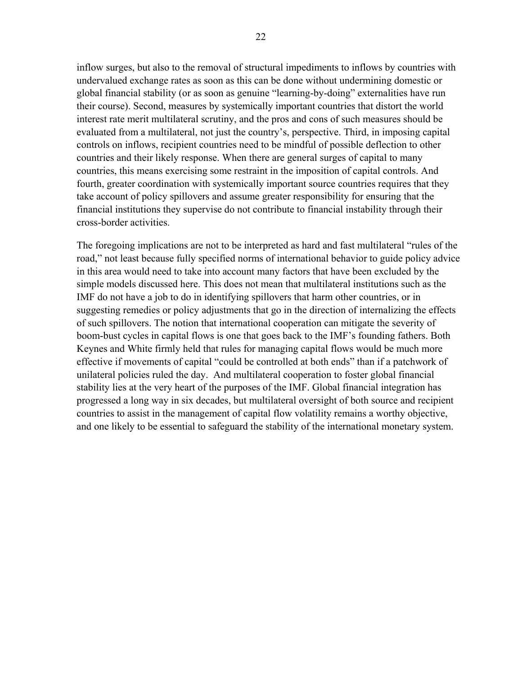inflow surges, but also to the removal of structural impediments to inflows by countries with undervalued exchange rates as soon as this can be done without undermining domestic or global financial stability (or as soon as genuine "learning-by-doing" externalities have run their course). Second, measures by systemically important countries that distort the world interest rate merit multilateral scrutiny, and the pros and cons of such measures should be evaluated from a multilateral, not just the country's, perspective. Third, in imposing capital controls on inflows, recipient countries need to be mindful of possible deflection to other countries and their likely response. When there are general surges of capital to many countries, this means exercising some restraint in the imposition of capital controls. And fourth, greater coordination with systemically important source countries requires that they take account of policy spillovers and assume greater responsibility for ensuring that the financial institutions they supervise do not contribute to financial instability through their cross-border activities.

The foregoing implications are not to be interpreted as hard and fast multilateral "rules of the road," not least because fully specified norms of international behavior to guide policy advice in this area would need to take into account many factors that have been excluded by the simple models discussed here. This does not mean that multilateral institutions such as the IMF do not have a job to do in identifying spillovers that harm other countries, or in suggesting remedies or policy adjustments that go in the direction of internalizing the effects of such spillovers. The notion that international cooperation can mitigate the severity of boom-bust cycles in capital flows is one that goes back to the IMF's founding fathers. Both Keynes and White firmly held that rules for managing capital flows would be much more effective if movements of capital "could be controlled at both ends" than if a patchwork of unilateral policies ruled the day. And multilateral cooperation to foster global financial stability lies at the very heart of the purposes of the IMF. Global financial integration has progressed a long way in six decades, but multilateral oversight of both source and recipient countries to assist in the management of capital flow volatility remains a worthy objective, and one likely to be essential to safeguard the stability of the international monetary system.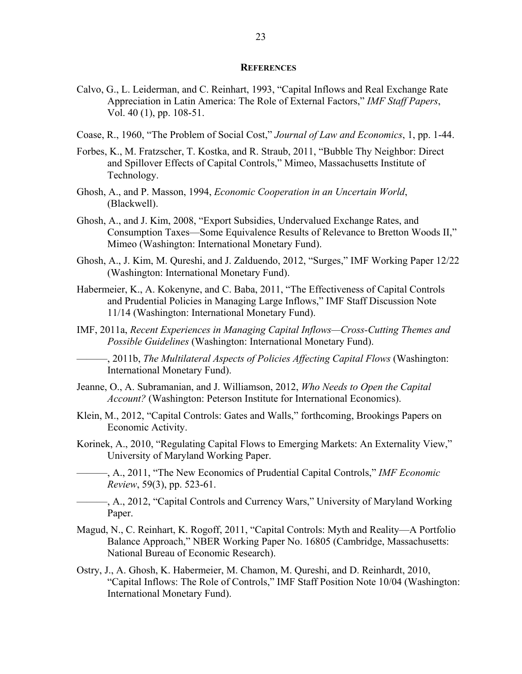#### **REFERENCES**

- Calvo, G., L. Leiderman, and C. Reinhart, 1993, "Capital Inflows and Real Exchange Rate Appreciation in Latin America: The Role of External Factors," *IMF Staff Papers*, Vol. 40 (1), pp. 108-51.
- Coase, R., 1960, "The Problem of Social Cost," *Journal of Law and Economics*, 1, pp. 1-44.
- Forbes, K., M. Fratzscher, T. Kostka, and R. Straub, 2011, "Bubble Thy Neighbor: Direct and Spillover Effects of Capital Controls," Mimeo, Massachusetts Institute of Technology.
- Ghosh, A., and P. Masson, 1994, *Economic Cooperation in an Uncertain World*, (Blackwell).
- Ghosh, A., and J. Kim, 2008, "Export Subsidies, Undervalued Exchange Rates, and Consumption Taxes—Some Equivalence Results of Relevance to Bretton Woods II," Mimeo (Washington: International Monetary Fund).
- Ghosh, A., J. Kim, M. Qureshi, and J. Zalduendo, 2012, "Surges," IMF Working Paper 12/22 (Washington: International Monetary Fund).
- Habermeier, K., A. Kokenyne, and C. Baba, 2011, "The Effectiveness of Capital Controls and Prudential Policies in Managing Large Inflows," IMF Staff Discussion Note 11/14 (Washington: International Monetary Fund).
- IMF, 2011a, *Recent Experiences in Managing Capital Inflows—Cross-Cutting Themes and Possible Guidelines* (Washington: International Monetary Fund).

———, 2011b, *The Multilateral Aspects of Policies Affecting Capital Flows* (Washington: International Monetary Fund).

- Jeanne, O., A. Subramanian, and J. Williamson, 2012, *Who Needs to Open the Capital Account?* (Washington: Peterson Institute for International Economics).
- Klein, M., 2012, "Capital Controls: Gates and Walls," forthcoming, Brookings Papers on Economic Activity.
- Korinek, A., 2010, "Regulating Capital Flows to Emerging Markets: An Externality View," University of Maryland Working Paper.
- ———, A., 2011, "The New Economics of Prudential Capital Controls," *IMF Economic Review*, 59(3), pp. 523-61.
	- ———, A., 2012, "Capital Controls and Currency Wars," University of Maryland Working Paper.
- Magud, N., C. Reinhart, K. Rogoff, 2011, "Capital Controls: Myth and Reality—A Portfolio Balance Approach," NBER Working Paper No. 16805 (Cambridge, Massachusetts: National Bureau of Economic Research).
- Ostry, J., A. Ghosh, K. Habermeier, M. Chamon, M. Qureshi, and D. Reinhardt, 2010, "Capital Inflows: The Role of Controls," IMF Staff Position Note 10/04 (Washington: International Monetary Fund).